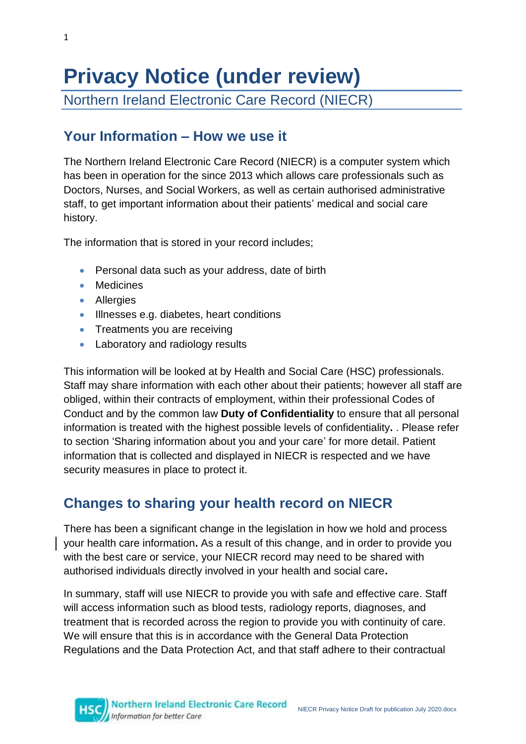# **Privacy Notice (under review)**

Northern Ireland Electronic Care Record (NIECR)

### **Your Information – How we use it**

The Northern Ireland Electronic Care Record (NIECR) is a computer system which has been in operation for the since 2013 which allows care professionals such as Doctors, Nurses, and Social Workers, as well as certain authorised administrative staff, to get important information about their patients' medical and social care history.

The information that is stored in your record includes;

- Personal data such as your address, date of birth
- Medicines
- **•** Allergies
- **Illnesses e.g. diabetes, heart conditions**
- Treatments you are receiving
- Laboratory and radiology results

This information will be looked at by Health and Social Care (HSC) professionals. Staff may share information with each other about their patients; however all staff are obliged, within their contracts of employment, within their professional Codes of Conduct and by the common law **Duty of Confidentiality** to ensure that all personal information is treated with the highest possible levels of confidentiality**.** . Please refer to section 'Sharing information about you and your care' for more detail. Patient information that is collected and displayed in NIECR is respected and we have security measures in place to protect it.

### **Changes to sharing your health record on NIECR**

There has been a significant change in the legislation in how we hold and process your health care information**.** As a result of this change, and in order to provide you with the best care or service, your NIECR record may need to be shared with authorised individuals directly involved in your health and social care**.**

In summary, staff will use NIECR to provide you with safe and effective care. Staff will access information such as blood tests, radiology reports, diagnoses, and treatment that is recorded across the region to provide you with continuity of care. We will ensure that this is in accordance with the General Data Protection Regulations and the Data Protection Act, and that staff adhere to their contractual

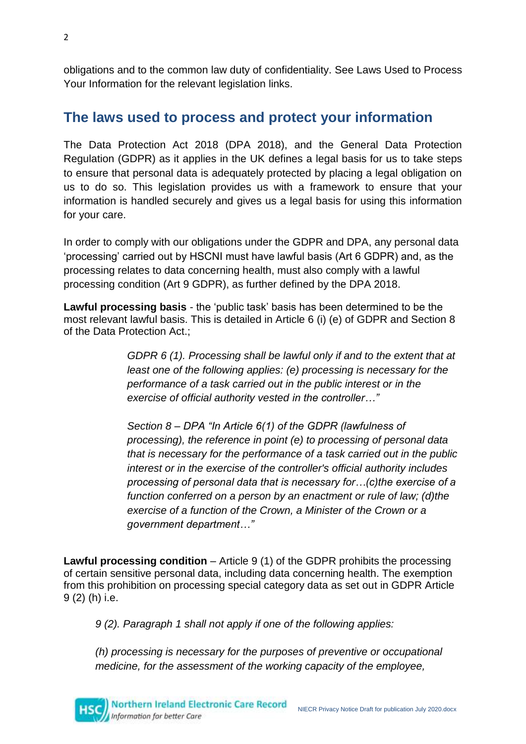obligations and to the common law duty of confidentiality. See Laws Used to Process Your Information for the relevant legislation links.

#### **The laws used to process and protect your information**

The Data Protection Act 2018 (DPA 2018), and the General Data Protection Regulation (GDPR) as it applies in the UK defines a legal basis for us to take steps to ensure that personal data is adequately protected by placing a legal obligation on us to do so. This legislation provides us with a framework to ensure that your information is handled securely and gives us a legal basis for using this information for your care.

In order to comply with our obligations under the GDPR and DPA, any personal data 'processing' carried out by HSCNI must have lawful basis (Art 6 GDPR) and, as the processing relates to data concerning health, must also comply with a lawful processing condition (Art 9 GDPR), as further defined by the DPA 2018.

**Lawful processing basis** - the 'public task' basis has been determined to be the most relevant lawful basis. This is detailed in Article 6 (i) (e) of GDPR and Section 8 of the Data Protection Act.;

> *GDPR 6 (1). Processing shall be lawful only if and to the extent that at least one of the following applies: (e) processing is necessary for the performance of a task carried out in the public interest or in the exercise of official authority vested in the controller…"*

> *Section 8 – DPA "In Article 6(1) of the GDPR (lawfulness of processing), the reference in point (e) to processing of personal data that is necessary for the performance of a task carried out in the public interest or in the exercise of the controller's official authority includes processing of personal data that is necessary for…(c)the exercise of a function conferred on a person by an enactment or rule of law; (d)the exercise of a function of the Crown, a Minister of the Crown or a government department…"*

**Lawful processing condition** – Article 9 (1) of the GDPR prohibits the processing of certain sensitive personal data, including data concerning health. The exemption from this prohibition on processing special category data as set out in GDPR Article 9 (2) (h) i.e.

*9 (2). Paragraph 1 shall not apply if one of the following applies:* 

*(h) processing is necessary for the purposes of preventive or occupational medicine, for the assessment of the working capacity of the employee,*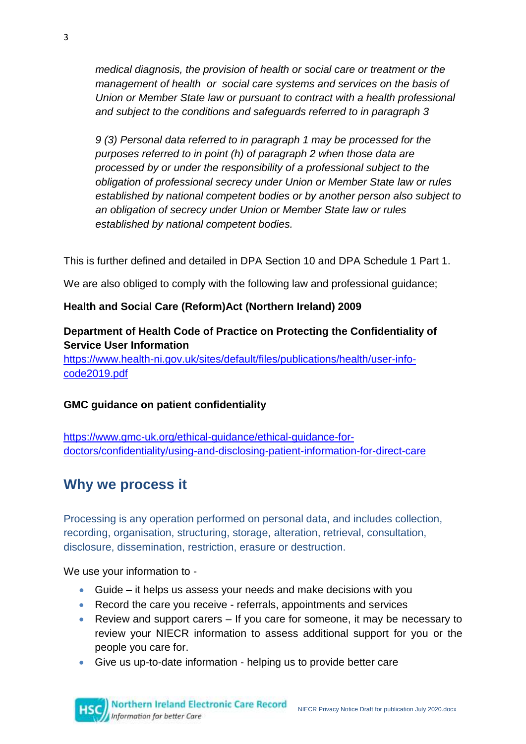*medical diagnosis, the provision of health or social care or treatment or the management of health or social care systems and services on the basis of Union or Member State law or pursuant to contract with a health professional and subject to the conditions and safeguards referred to in paragraph 3*

*9 (3) Personal data referred to in paragraph 1 may be processed for the purposes referred to in point (h) of paragraph 2 when those data are processed by or under the responsibility of a professional subject to the obligation of professional secrecy under Union or Member State law or rules established by national competent bodies or by another person also subject to an obligation of secrecy under Union or Member State law or rules established by national competent bodies.* 

This is further defined and detailed in DPA Section 10 and DPA Schedule 1 Part 1.

We are also obliged to comply with the following law and professional guidance;

#### **Health and Social Care (Reform)Act (Northern Ireland) 2009**

#### **Department of Health Code of Practice on Protecting the Confidentiality of Service User Information**

[https://www.health-ni.gov.uk/sites/default/files/publications/health/user-info](https://www.health-ni.gov.uk/sites/default/files/publications/health/user-info-code2019.pdf)[code2019.pdf](https://www.health-ni.gov.uk/sites/default/files/publications/health/user-info-code2019.pdf)

#### **GMC guidance on patient confidentiality**

[https://www.gmc-uk.org/ethical-guidance/ethical-guidance-for](https://www.gmc-uk.org/ethical-guidance/ethical-guidance-for-doctors/confidentiality/using-and-disclosing-patient-information-for-direct-care)[doctors/confidentiality/using-and-disclosing-patient-information-for-direct-care](https://www.gmc-uk.org/ethical-guidance/ethical-guidance-for-doctors/confidentiality/using-and-disclosing-patient-information-for-direct-care)

### **Why we process it**

Processing is any operation performed on personal data, and includes collection, recording, organisation, structuring, storage, alteration, retrieval, consultation, disclosure, dissemination, restriction, erasure or destruction.

We use your information to -

- Guide it helps us assess your needs and make decisions with you
- Record the care you receive referrals, appointments and services
- Review and support carers If you care for someone, it may be necessary to review your NIECR information to assess additional support for you or the people you care for.
- Give us up-to-date information helping us to provide better care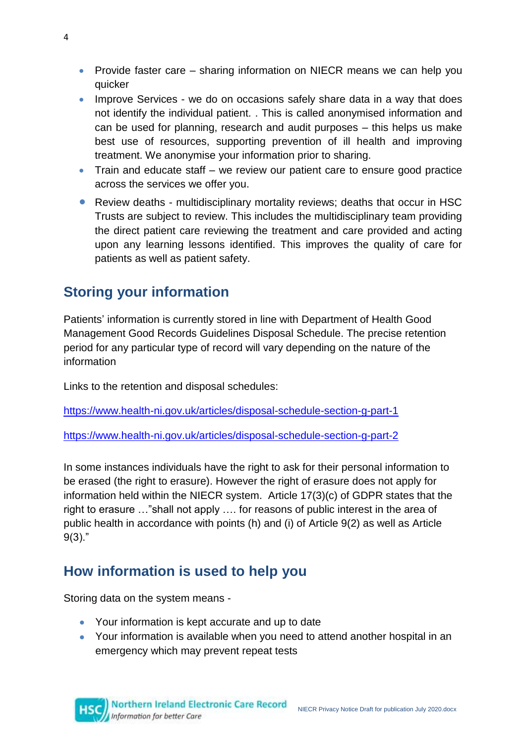- Provide faster care sharing information on NIECR means we can help you quicker
- Improve Services we do on occasions safely share data in a way that does not identify the individual patient. . This is called anonymised information and can be used for planning, research and audit purposes – this helps us make best use of resources, supporting prevention of ill health and improving treatment. We anonymise your information prior to sharing.
- Train and educate staff we review our patient care to ensure good practice across the services we offer you.
- Review deaths multidisciplinary mortality reviews; deaths that occur in HSC Trusts are subject to review. This includes the multidisciplinary team providing the direct patient care reviewing the treatment and care provided and acting upon any learning lessons identified. This improves the quality of care for patients as well as patient safety.

#### **Storing your information**

Patients' information is currently stored in line with Department of Health Good Management Good Records Guidelines Disposal Schedule. The precise retention period for any particular type of record will vary depending on the nature of the information

Links to the retention and disposal schedules:

<https://www.health-ni.gov.uk/articles/disposal-schedule-section-g-part-1>

<https://www.health-ni.gov.uk/articles/disposal-schedule-section-g-part-2>

In some instances individuals have the right to ask for their personal information to be erased (the right to erasure). However the right of erasure does not apply for information held within the NIECR system. Article 17(3)(c) of GDPR states that the right to erasure …"shall not apply …. for reasons of public interest in the area of public health in accordance with points (h) and (i) of [Article 9\(](https://gdpr-info.eu/art-9-gdpr/)2) as well as [Article](https://gdpr-info.eu/art-9-gdpr/)  [9\(](https://gdpr-info.eu/art-9-gdpr/)3)."

### **How information is used to help you**

Storing data on the system means -

- Your information is kept accurate and up to date
- Your information is available when you need to attend another hospital in an emergency which may prevent repeat tests

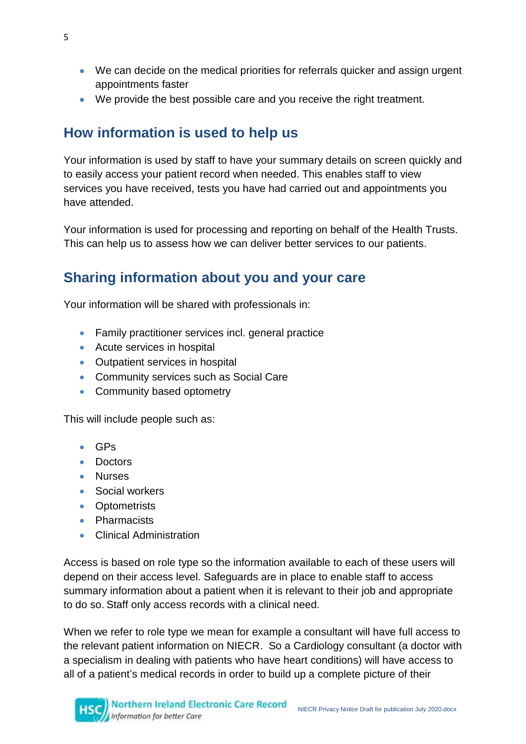- We can decide on the medical priorities for referrals quicker and assign urgent appointments faster
- We provide the best possible care and you receive the right treatment.

### **How information is used to help us**

Your information is used by staff to have your summary details on screen quickly and to easily access your patient record when needed. This enables staff to view services you have received, tests you have had carried out and appointments you have attended.

Your information is used for processing and reporting on behalf of the Health Trusts. This can help us to assess how we can deliver better services to our patients.

### **Sharing information about you and your care**

Your information will be shared with professionals in:

- Family practitioner services incl. general practice
- Acute services in hospital
- Outpatient services in hospital
- Community services such as Social Care
- Community based optometry

This will include people such as:

- GPs
- Doctors
- Nurses
- Social workers
- Optometrists
- **•** Pharmacists
- Clinical Administration

Access is based on role type so the information available to each of these users will depend on their access level. Safeguards are in place to enable staff to access summary information about a patient when it is relevant to their job and appropriate to do so. Staff only access records with a clinical need.

When we refer to role type we mean for example a consultant will have full access to the relevant patient information on NIECR. So a Cardiology consultant (a doctor with a specialism in dealing with patients who have heart conditions) will have access to all of a patient's medical records in order to build up a complete picture of their

5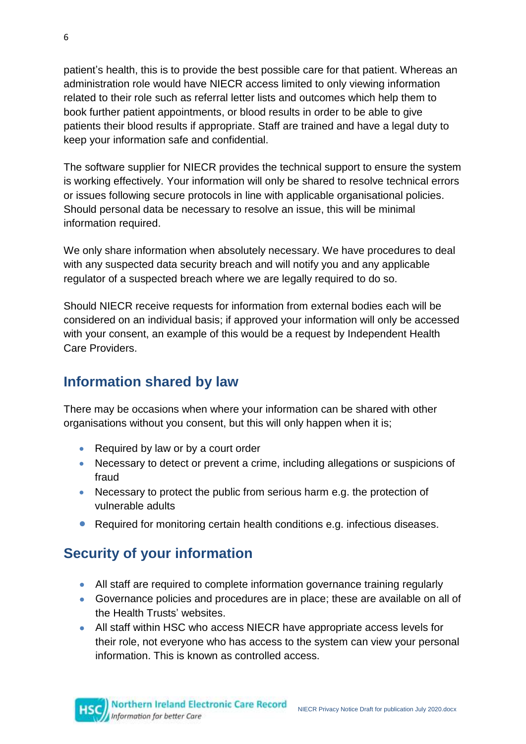patient's health, this is to provide the best possible care for that patient. Whereas an administration role would have NIECR access limited to only viewing information related to their role such as referral letter lists and outcomes which help them to book further patient appointments, or blood results in order to be able to give patients their blood results if appropriate. Staff are trained and have a legal duty to keep your information safe and confidential.

The software supplier for NIECR provides the technical support to ensure the system is working effectively. Your information will only be shared to resolve technical errors or issues following secure protocols in line with applicable organisational policies. Should personal data be necessary to resolve an issue, this will be minimal information required.

We only share information when absolutely necessary. We have procedures to deal with any suspected data security breach and will notify you and any applicable regulator of a suspected breach where we are legally required to do so.

Should NIECR receive requests for information from external bodies each will be considered on an individual basis; if approved your information will only be accessed with your consent, an example of this would be a request by Independent Health Care Providers.

### **Information shared by law**

There may be occasions when where your information can be shared with other organisations without you consent, but this will only happen when it is;

- Required by law or by a court order
- Necessary to detect or prevent a crime, including allegations or suspicions of fraud
- Necessary to protect the public from serious harm e.g. the protection of vulnerable adults
- Required for monitoring certain health conditions e.g. infectious diseases.

## **Security of your information**

- All staff are required to complete information governance training regularly
- Governance policies and procedures are in place; these are available on all of the Health Trusts' websites.
- All staff within HSC who access NIECR have appropriate access levels for their role, not everyone who has access to the system can view your personal information. This is known as controlled access.



6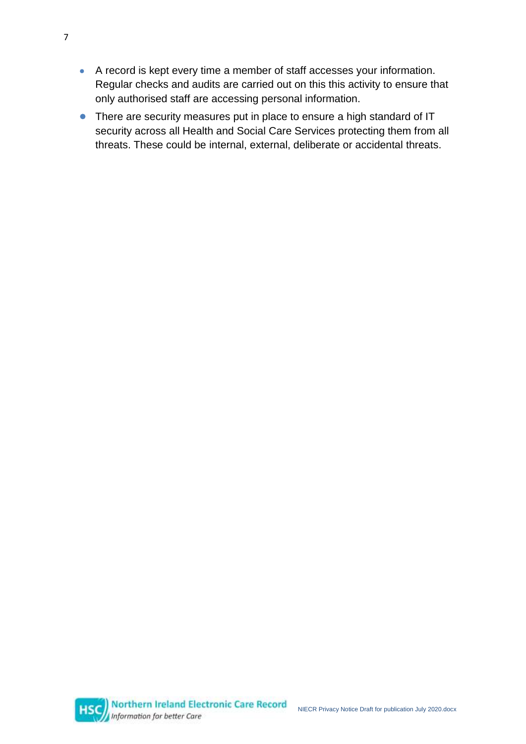- A record is kept every time a member of staff accesses your information. Regular checks and audits are carried out on this this activity to ensure that only authorised staff are accessing personal information.
- There are security measures put in place to ensure a high standard of IT security across all Health and Social Care Services protecting them from all threats. These could be internal, external, deliberate or accidental threats.